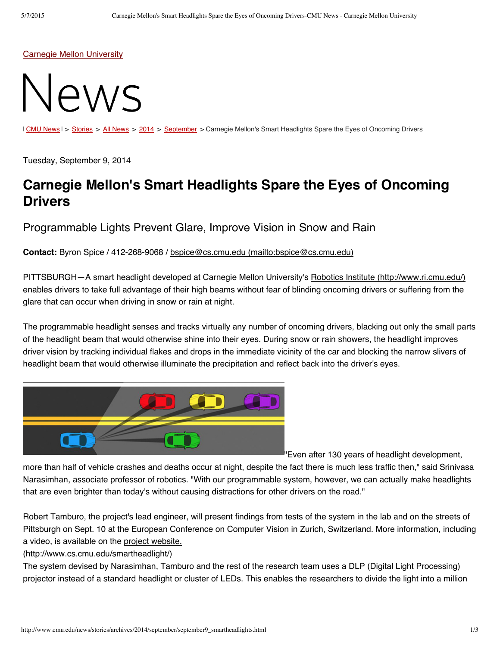Carnegie Mellon [University](http://www.cmu.edu/)



I CMU [News](http://www.cmu.edu/news/stories/archives/index.html) | > [Stories](http://www.cmu.edu/news/stories/index.html) > All News > [2014](http://www.cmu.edu/news/stories/archives/2014/index.html) > [September](http://www.cmu.edu/news/stories/archives/2014/september/index.html) > Carnegie Mellon's Smart Headlights Spare the Eyes of Oncoming Drivers

Tuesday, September 9, 2014

## **Carnegie Mellon's Smart Headlights Spare the Eyes of Oncoming Drivers**

Programmable Lights Prevent Glare, Improve Vision in Snow and Rain

**Contact:** Byron Spice / 412-268-9068 / bspice@cs.cmu.edu [\(mailto:bspice@cs.cmu.edu\)](mailto:bspice@cs.cmu.edu)

PITTSBURGH—A smart headlight developed at Carnegie Mellon University's Robotics Institute [\(http://www.ri.cmu.edu/\)](http://www.ri.cmu.edu/) enables drivers to take full advantage of their high beams without fear of blinding oncoming drivers or suffering from the glare that can occur when driving in snow or rain at night.

The programmable headlight senses and tracks virtually any number of oncoming drivers, blacking out only the small parts of the headlight beam that would otherwise shine into their eyes. During snow or rain showers, the headlight improves driver vision by tracking individual flakes and drops in the immediate vicinity of the car and blocking the narrow slivers of headlight beam that would otherwise illuminate the precipitation and reflect back into the driver's eyes.



"Even after 130 years of headlight development,

more than half of vehicle crashes and deaths occur at night, despite the fact there is much less traffic then," said Srinivasa Narasimhan, associate professor of robotics. "With our programmable system, however, we can actually make headlights that are even brighter than today's without causing distractions for other drivers on the road."

Robert Tamburo, the project's lead engineer, will present findings from tests of the system in the lab and on the streets of Pittsburgh on Sept. 10 at the European Conference on Computer Vision in Zurich, Switzerland. More information, including a video, is available on the project website.

## [\(http://www.cs.cmu.edu/smartheadlight/\)](http://www.cs.cmu.edu/smartheadlight/)

The system devised by Narasimhan, Tamburo and the rest of the research team uses a DLP (Digital Light Processing) projector instead of a standard headlight or cluster of LEDs. This enables the researchers to divide the light into a million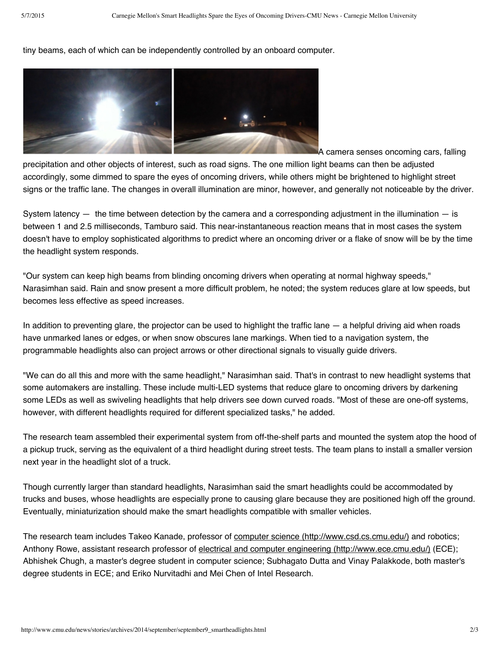tiny beams, each of which can be independently controlled by an onboard computer.



A camera senses oncoming cars, falling precipitation and other objects of interest, such as road signs. The one million light beams can then be adjusted accordingly, some dimmed to spare the eyes of oncoming drivers, while others might be brightened to highlight street signs or the traffic lane. The changes in overall illumination are minor, however, and generally not noticeable by the driver.

System latency  $-$  the time between detection by the camera and a corresponding adjustment in the illumination  $-$  is between 1 and 2.5 milliseconds, Tamburo said. This near-instantaneous reaction means that in most cases the system doesn't have to employ sophisticated algorithms to predict where an oncoming driver or a flake of snow will be by the time the headlight system responds.

"Our system can keep high beams from blinding oncoming drivers when operating at normal highway speeds," Narasimhan said. Rain and snow present a more difficult problem, he noted; the system reduces glare at low speeds, but becomes less effective as speed increases.

In addition to preventing glare, the projector can be used to highlight the traffic lane  $-$  a helpful driving aid when roads have unmarked lanes or edges, or when snow obscures lane markings. When tied to a navigation system, the programmable headlights also can project arrows or other directional signals to visually guide drivers.

"We can do all this and more with the same headlight," Narasimhan said. That's in contrast to new headlight systems that some automakers are installing. These include multi-LED systems that reduce glare to oncoming drivers by darkening some LEDs as well as swiveling headlights that help drivers see down curved roads. "Most of these are one-off systems, however, with different headlights required for different specialized tasks," he added.

The research team assembled their experimental system from off-the-shelf parts and mounted the system atop the hood of a pickup truck, serving as the equivalent of a third headlight during street tests. The team plans to install a smaller version next year in the headlight slot of a truck.

Though currently larger than standard headlights, Narasimhan said the smart headlights could be accommodated by trucks and buses, whose headlights are especially prone to causing glare because they are positioned high off the ground. Eventually, miniaturization should make the smart headlights compatible with smaller vehicles.

The research team includes Takeo Kanade, professor of computer science [\(http://www.csd.cs.cmu.edu/\)](http://www.csd.cs.cmu.edu/) and robotics; Anthony Rowe, assistant research professor of electrical and computer engineering [\(http://www.ece.cmu.edu/\)](http://www.ece.cmu.edu/) (ECE); Abhishek Chugh, a master's degree student in computer science; Subhagato Dutta and Vinay Palakkode, both master's degree students in ECE; and Eriko Nurvitadhi and Mei Chen of Intel Research.